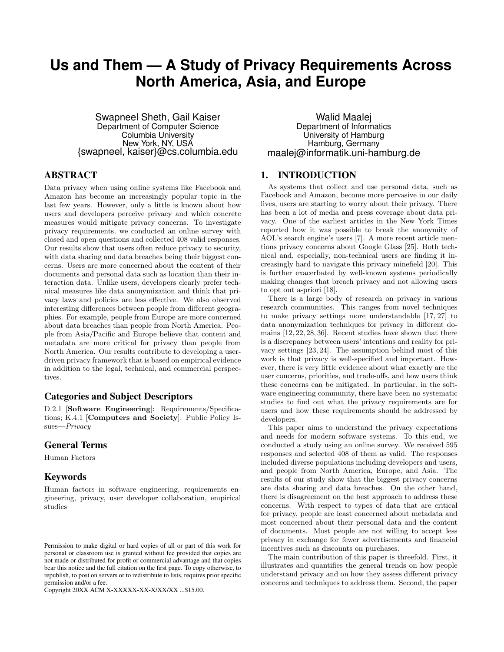# **Us and Them — A Study of Privacy Requirements Across North America, Asia, and Europe**

Swapneel Sheth, Gail Kaiser Department of Computer Science Columbia University New York, NY, USA {swapneel, kaiser}@cs.columbia.edu

# ABSTRACT

Data privacy when using online systems like Facebook and Amazon has become an increasingly popular topic in the last few years. However, only a little is known about how users and developers perceive privacy and which concrete measures would mitigate privacy concerns. To investigate privacy requirements, we conducted an online survey with closed and open questions and collected 408 valid responses. Our results show that users often reduce privacy to security, with data sharing and data breaches being their biggest concerns. Users are more concerned about the content of their documents and personal data such as location than their interaction data. Unlike users, developers clearly prefer technical measures like data anonymization and think that privacy laws and policies are less effective. We also observed interesting differences between people from different geographies. For example, people from Europe are more concerned about data breaches than people from North America. People from Asia/Pacific and Europe believe that content and metadata are more critical for privacy than people from North America. Our results contribute to developing a userdriven privacy framework that is based on empirical evidence in addition to the legal, technical, and commercial perspectives.

## Categories and Subject Descriptors

D.2.1 [Software Engineering]: Requirements/Specifications; K.4.1 [Computers and Society]: Public Policy Issues—Privacy

# General Terms

Human Factors

# Keywords

Human factors in software engineering, requirements engineering, privacy, user developer collaboration, empirical studies

Copyright 20XX ACM X-XXXXX-XX-X/XX/XX ...\$15.00.

Walid Maalej Department of Informatics University of Hamburg Hamburg, Germany maalej@informatik.uni-hamburg.de

## 1. INTRODUCTION

As systems that collect and use personal data, such as Facebook and Amazon, become more pervasive in our daily lives, users are starting to worry about their privacy. There has been a lot of media and press coverage about data privacy. One of the earliest articles in the New York Times reported how it was possible to break the anonymity of AOL's search engine's users [7]. A more recent article mentions privacy concerns about Google Glass [25]. Both technical and, especially, non-technical users are finding it increasingly hard to navigate this privacy minefield [20]. This is further exacerbated by well-known systems periodically making changes that breach privacy and not allowing users to opt out a-priori [18].

There is a large body of research on privacy in various research communities. This ranges from novel techniques to make privacy settings more understandable [17, 27] to data anonymization techniques for privacy in different domains [12, 22, 28, 36]. Recent studies have shown that there is a discrepancy between users' intentions and reality for privacy settings [23, 24]. The assumption behind most of this work is that privacy is well-specified and important. However, there is very little evidence about what exactly are the user concerns, priorities, and trade-offs, and how users think these concerns can be mitigated. In particular, in the software engineering community, there have been no systematic studies to find out what the privacy requirements are for users and how these requirements should be addressed by developers.

This paper aims to understand the privacy expectations and needs for modern software systems. To this end, we conducted a study using an online survey. We received 595 responses and selected 408 of them as valid. The responses included diverse populations including developers and users, and people from North America, Europe, and Asia. The results of our study show that the biggest privacy concerns are data sharing and data breaches. On the other hand, there is disagreement on the best approach to address these concerns. With respect to types of data that are critical for privacy, people are least concerned about metadata and most concerned about their personal data and the content of documents. Most people are not willing to accept less privacy in exchange for fewer advertisements and financial incentives such as discounts on purchases.

The main contribution of this paper is threefold. First, it illustrates and quantifies the general trends on how people understand privacy and on how they assess different privacy concerns and techniques to address them. Second, the paper

Permission to make digital or hard copies of all or part of this work for personal or classroom use is granted without fee provided that copies are not made or distributed for profit or commercial advantage and that copies bear this notice and the full citation on the first page. To copy otherwise, to republish, to post on servers or to redistribute to lists, requires prior specific permission and/or a fee.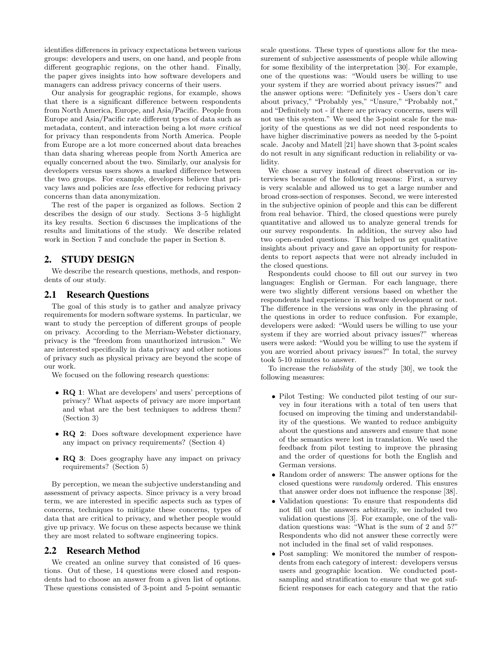identifies differences in privacy expectations between various groups: developers and users, on one hand, and people from different geographic regions, on the other hand. Finally, the paper gives insights into how software developers and managers can address privacy concerns of their users.

Our analysis for geographic regions, for example, shows that there is a significant difference between respondents from North America, Europe, and Asia/Pacific. People from Europe and Asia/Pacific rate different types of data such as metadata, content, and interaction being a lot more critical for privacy than respondents from North America. People from Europe are a lot more concerned about data breaches than data sharing whereas people from North America are equally concerned about the two. Similarly, our analysis for developers versus users shows a marked difference between the two groups. For example, developers believe that privacy laws and policies are less effective for reducing privacy concerns than data anonymization.

The rest of the paper is organized as follows. Section 2 describes the design of our study. Sections 3–5 highlight its key results. Section 6 discusses the implications of the results and limitations of the study. We describe related work in Section 7 and conclude the paper in Section 8.

# 2. STUDY DESIGN

We describe the research questions, methods, and respondents of our study.

#### 2.1 Research Questions

The goal of this study is to gather and analyze privacy requirements for modern software systems. In particular, we want to study the perception of different groups of people on privacy. According to the Merriam-Webster dictionary, privacy is the "freedom from unauthorized intrusion." We are interested specifically in data privacy and other notions of privacy such as physical privacy are beyond the scope of our work.

We focused on the following research questions:

- **RQ 1**: What are developers' and users' perceptions of privacy? What aspects of privacy are more important and what are the best techniques to address them? (Section 3)
- RQ 2: Does software development experience have any impact on privacy requirements? (Section 4)
- RQ 3: Does geography have any impact on privacy requirements? (Section 5)

By perception, we mean the subjective understanding and assessment of privacy aspects. Since privacy is a very broad term, we are interested in specific aspects such as types of concerns, techniques to mitigate these concerns, types of data that are critical to privacy, and whether people would give up privacy. We focus on these aspects because we think they are most related to software engineering topics.

#### 2.2 Research Method

We created an online survey that consisted of 16 questions. Out of these, 14 questions were closed and respondents had to choose an answer from a given list of options. These questions consisted of 3-point and 5-point semantic scale questions. These types of questions allow for the measurement of subjective assessments of people while allowing for some flexibility of the interpretation [30]. For example, one of the questions was: "Would users be willing to use your system if they are worried about privacy issues?" and the answer options were: "Definitely yes - Users don't care about privacy," "Probably yes," "Unsure," "Probably not," and "Definitely not - if there are privacy concerns, users will not use this system." We used the 3-point scale for the majority of the questions as we did not need respondents to have higher discriminative powers as needed by the 5-point scale. Jacoby and Matell [21] have shown that 3-point scales do not result in any significant reduction in reliability or validity.

We chose a survey instead of direct observation or interviews because of the following reasons: First, a survey is very scalable and allowed us to get a large number and broad cross-section of responses. Second, we were interested in the subjective opinion of people and this can be different from real behavior. Third, the closed questions were purely quantitative and allowed us to analyze general trends for our survey respondents. In addition, the survey also had two open-ended questions. This helped us get qualitative insights about privacy and gave an opportunity for respondents to report aspects that were not already included in the closed questions.

Respondents could choose to fill out our survey in two languages: English or German. For each language, there were two slightly different versions based on whether the respondents had experience in software development or not. The difference in the versions was only in the phrasing of the questions in order to reduce confusion. For example, developers were asked: "Would users be willing to use your system if they are worried about privacy issues?" whereas users were asked: "Would you be willing to use the system if you are worried about privacy issues?" In total, the survey took 5-10 minutes to answer.

To increase the reliability of the study [30], we took the following measures:

- Pilot Testing: We conducted pilot testing of our survey in four iterations with a total of ten users that focused on improving the timing and understandability of the questions. We wanted to reduce ambiguity about the questions and answers and ensure that none of the semantics were lost in translation. We used the feedback from pilot testing to improve the phrasing and the order of questions for both the English and German versions.
- Random order of answers: The answer options for the closed questions were randomly ordered. This ensures that answer order does not influence the response [38].
- Validation questions: To ensure that respondents did not fill out the answers arbitrarily, we included two validation questions [3]. For example, one of the validation questions was: "What is the sum of 2 and 5?" Respondents who did not answer these correctly were not included in the final set of valid responses.
- Post sampling: We monitored the number of respondents from each category of interest: developers versus users and geographic location. We conducted postsampling and stratification to ensure that we got sufficient responses for each category and that the ratio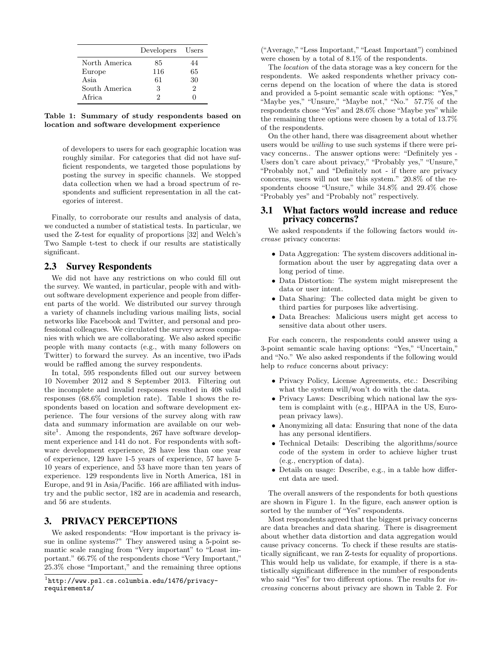|               | Developers | Users |
|---------------|------------|-------|
| North America | 85         | 44    |
| Europe        | 116        | 65    |
| Asia          | 61         | 30    |
| South America | 3          | 2     |
| Africa        |            |       |

Table 1: Summary of study respondents based on location and software development experience

of developers to users for each geographic location was roughly similar. For categories that did not have sufficient respondents, we targeted those populations by posting the survey in specific channels. We stopped data collection when we had a broad spectrum of respondents and sufficient representation in all the categories of interest.

Finally, to corroborate our results and analysis of data, we conducted a number of statistical tests. In particular, we used the Z-test for equality of proportions [32] and Welch's Two Sample t-test to check if our results are statistically significant.

## 2.3 Survey Respondents

We did not have any restrictions on who could fill out the survey. We wanted, in particular, people with and without software development experience and people from different parts of the world. We distributed our survey through a variety of channels including various mailing lists, social networks like Facebook and Twitter, and personal and professional colleagues. We circulated the survey across companies with which we are collaborating. We also asked specific people with many contacts (e.g., with many followers on Twitter) to forward the survey. As an incentive, two iPads would be raffled among the survey respondents.

In total, 595 respondents filled out our survey between 10 November 2012 and 8 September 2013. Filtering out the incomplete and invalid responses resulted in 408 valid responses (68.6% completion rate). Table 1 shows the respondents based on location and software development experience. The four versions of the survey along with raw data and summary information are available on our website<sup>1</sup>. Among the respondents, 267 have software development experience and 141 do not. For respondents with software development experience, 28 have less than one year of experience, 129 have 1-5 years of experience, 57 have 5- 10 years of experience, and 53 have more than ten years of experience. 129 respondents live in North America, 181 in Europe, and 91 in Asia/Pacific. 166 are affiliated with industry and the public sector, 182 are in academia and research, and 56 are students.

# 3. PRIVACY PERCEPTIONS

We asked respondents: "How important is the privacy issue in online systems?" They answered using a 5-point semantic scale ranging from "Very important" to "Least important." 66.7% of the respondents chose "Very Important," 25.3% chose "Important," and the remaining three options ("Average,""Less Important,""Least Important") combined were chosen by a total of 8.1% of the respondents.

The location of the data storage was a key concern for the respondents. We asked respondents whether privacy concerns depend on the location of where the data is stored and provided a 5-point semantic scale with options: "Yes," "Maybe yes," "Unsure," "Maybe not," "No." 57.7% of the respondents chose "Yes" and 28.6% chose "Maybe yes" while the remaining three options were chosen by a total of 13.7% of the respondents.

On the other hand, there was disagreement about whether users would be willing to use such systems if there were privacy concerns.. The answer options were: "Definitely yes - Users don't care about privacy," "Probably yes," "Unsure," "Probably not," and "Definitely not - if there are privacy concerns, users will not use this system." 20.8% of the respondents choose "Unsure," while 34.8% and 29.4% chose "Probably yes" and "Probably not" respectively.

#### 3.1 What factors would increase and reduce privacy concerns?

We asked respondents if the following factors would *in*crease privacy concerns:

- Data Aggregation: The system discovers additional information about the user by aggregating data over a long period of time.
- Data Distortion: The system might misrepresent the data or user intent.
- Data Sharing: The collected data might be given to third parties for purposes like advertising.
- Data Breaches: Malicious users might get access to sensitive data about other users.

For each concern, the respondents could answer using a 3-point semantic scale having options: "Yes," "Uncertain," and "No." We also asked respondents if the following would help to reduce concerns about privacy:

- Privacy Policy, License Agreements, etc.: Describing what the system will/won't do with the data.
- Privacy Laws: Describing which national law the system is complaint with (e.g., HIPAA in the US, European privacy laws).
- Anonymizing all data: Ensuring that none of the data has any personal identifiers.
- Technical Details: Describing the algorithms/source code of the system in order to achieve higher trust (e.g., encryption of data).
- Details on usage: Describe, e.g., in a table how different data are used.

The overall answers of the respondents for both questions are shown in Figure 1. In the figure, each answer option is sorted by the number of "Yes" respondents.

Most respondents agreed that the biggest privacy concerns are data breaches and data sharing. There is disagreement about whether data distortion and data aggregation would cause privacy concerns. To check if these results are statistically significant, we ran Z-tests for equality of proportions. This would help us validate, for example, if there is a statistically significant difference in the number of respondents who said "Yes" for two different options. The results for  $in$ creasing concerns about privacy are shown in Table 2. For

<sup>1</sup> http://www.psl.cs.columbia.edu/1476/privacyrequirements/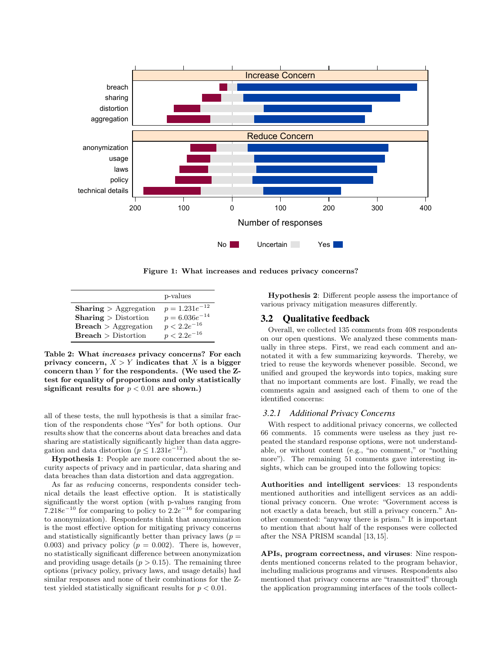

Figure 1: What increases and reduces privacy concerns?

|                                | p-values           |
|--------------------------------|--------------------|
| <b>Sharing</b> $>$ Aggregation | $p = 1.231e^{-12}$ |
| <b>Sharing</b> $>$ Distortion  | $p = 6.036e^{-14}$ |
| Breach > Aggregation           | $p < 2.2e^{-16}$   |
| Breach > Distortion            | $p < 2.2e^{-16}$   |

Table 2: What increases privacy concerns? For each privacy concern,  $X > Y$  indicates that X is a bigger concern than Y for the respondents. (We used the Ztest for equality of proportions and only statistically significant results for  $p < 0.01$  are shown.)

all of these tests, the null hypothesis is that a similar fraction of the respondents chose "Yes" for both options. Our results show that the concerns about data breaches and data sharing are statistically significantly higher than data aggregation and data distortion  $(p \leq 1.231e^{-12})$ .

Hypothesis 1: People are more concerned about the security aspects of privacy and in particular, data sharing and data breaches than data distortion and data aggregation.

As far as reducing concerns, respondents consider technical details the least effective option. It is statistically significantly the worst option (with p-values ranging from  $7.218e^{-10}$  for comparing to policy to  $2.2e^{-16}$  for comparing to anonymization). Respondents think that anonymization is the most effective option for mitigating privacy concerns and statistically significantly better than privacy laws ( $p =$ 0.003) and privacy policy  $(p = 0.002)$ . There is, however, no statistically significant difference between anonymization and providing usage details  $(p > 0.15)$ . The remaining three options (privacy policy, privacy laws, and usage details) had similar responses and none of their combinations for the Ztest yielded statistically significant results for  $p < 0.01$ .

Hypothesis 2: Different people assess the importance of various privacy mitigation measures differently.

## 3.2 Qualitative feedback

Overall, we collected 135 comments from 408 respondents on our open questions. We analyzed these comments manually in three steps. First, we read each comment and annotated it with a few summarizing keywords. Thereby, we tried to reuse the keywords whenever possible. Second, we unified and grouped the keywords into topics, making sure that no important comments are lost. Finally, we read the comments again and assigned each of them to one of the identified concerns:

#### *3.2.1 Additional Privacy Concerns*

With respect to additional privacy concerns, we collected 66 comments. 15 comments were useless as they just repeated the standard response options, were not understandable, or without content (e.g., "no comment," or "nothing more"). The remaining 51 comments gave interesting insights, which can be grouped into the following topics:

Authorities and intelligent services: 13 respondents mentioned authorities and intelligent services as an additional privacy concern. One wrote: "Government access is not exactly a data breach, but still a privacy concern." Another commented: "anyway there is prism." It is important to mention that about half of the responses were collected after the NSA PRISM scandal [13, 15].

APIs, program correctness, and viruses: Nine respondents mentioned concerns related to the program behavior, including malicious programs and viruses. Respondents also mentioned that privacy concerns are "transmitted" through the application programming interfaces of the tools collect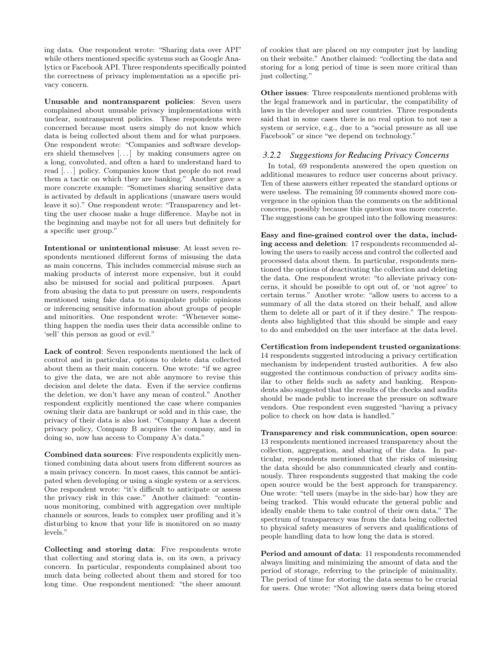ing data. One respondent wrote: "Sharing data over API" while others mentioned specific systems such as Google Analytics or Facebook API. Three respondents specifically pointed the correctness of privacy implementation as a specific privacy concern.

Unusable and nontransparent policies: Seven users complained about unusable privacy implementations with unclear, nontransparent policies. These respondents were concerned because most users simply do not know which data is being collected about them and for what purposes. One respondent wrote: "Companies and software developers shield themselves [. . . ] by making consumers agree on a long, convoluted, and often a hard to understand hard to read [. . . ] policy. Companies know that people do not read them a tactic on which they are banking." Another gave a more concrete example: "Sometimes sharing sensitive data is activated by default in applications (unaware users would leave it so)." One respondent wrote: "Transparency and letting the user choose make a huge difference. Maybe not in the beginning and maybe not for all users but definitely for a specific user group."

Intentional or unintentional misuse: At least seven respondents mentioned different forms of misusing the data as main concerns. This includes commercial misuse such as making products of interest more expensive, but it could also be misused for social and political purposes. Apart from abusing the data to put pressure on users, respondents mentioned using fake data to manipulate public opinions or inferencing sensitive information about groups of people and minorities. One respondent wrote: "Whenever something happen the media uses their data accessible online to 'sell' this person as good or evil."

Lack of control: Seven respondents mentioned the lack of control and in particular, options to delete data collected about them as their main concern. One wrote: "if we agree to give the data, we are not able anymore to revise this decision and delete the data. Even if the service confirms the deletion, we don't have any mean of control." Another respondent explicitly mentioned the case where companies owning their data are bankrupt or sold and in this case, the privacy of their data is also lost. "Company A has a decent privacy policy, Company B acquires the company, and in doing so, now has access to Company A's data."

Combined data sources: Five respondents explicitly mentioned combining data about users from different sources as a main privacy concern. In most cases, this cannot be anticipated when developing or using a single system or a services. One respondent wrote: "it's difficult to anticipate or assess the privacy risk in this case." Another claimed: "continuous monitoring, combined with aggregation over multiple channels or sources, leads to complex user profiling and it's disturbing to know that your life is monitored on so many levels."

Collecting and storing data: Five respondents wrote that collecting and storing data is, on its own, a privacy concern. In particular, respondents complained about too much data being collected about them and stored for too long time. One respondent mentioned: "the sheer amount

of cookies that are placed on my computer just by landing on their website." Another claimed: "collecting the data and storing for a long period of time is seen more critical than just collecting."

Other issues: Three respondents mentioned problems with the legal framework and in particular, the compatibility of laws in the developer and user countries. Three respondents said that in some cases there is no real option to not use a system or service, e.g., due to a "social pressure as all use Facebook" or since "we depend on technology."

#### *3.2.2 Suggestions for Reducing Privacy Concerns*

In total, 69 respondents answered the open question on additional measures to reduce user concerns about privacy. Ten of these answers either repeated the standard options or were useless. The remaining 59 comments showed more convergence in the opinion than the comments on the additional concerns, possibly because this question was more concrete. The suggestions can be grouped into the following measures:

Easy and fine-grained control over the data, including access and deletion: 17 respondents recommended allowing the users to easily access and control the collected and processed data about them. In particular, respondents mentioned the options of deactivating the collection and deleting the data. One respondent wrote: "to alleviate privacy concerns, it should be possible to opt out of, or 'not agree' to certain terms." Another wrote: "allow users to access to a summary of all the data stored on their behalf, and allow them to delete all or part of it if they desire." The respondents also highlighted that this should be simple and easy to do and embedded on the user interface at the data level.

Certification from independent trusted organizations: 14 respondents suggested introducing a privacy certification mechanism by independent trusted authorities. A few also suggested the continuous conduction of privacy audits similar to other fields such as safety and banking. Respondents also suggested that the results of the checks and audits should be made public to increase the pressure on software vendors. One respondent even suggested "having a privacy police to check on how data is handled."

Transparency and risk communication, open source: 13 respondents mentioned increased transparency about the collection, aggregation, and sharing of the data. In particular, respondents mentioned that the risks of misusing the data should be also communicated clearly and continuously. Three respondents suggested that making the code open source would be the best approach for transparency. One wrote: "tell users (maybe in the side-bar) how they are being tracked. This would educate the general public and ideally enable them to take control of their own data." The spectrum of transparency was from the data being collected to physical safety measures of servers and qualifications of people handling data to how long the data is stored.

Period and amount of data: 11 respondents recommended always limiting and minimizing the amount of data and the period of storage, referring to the principle of minimality. The period of time for storing the data seems to be crucial for users. One wrote: "Not allowing users data being stored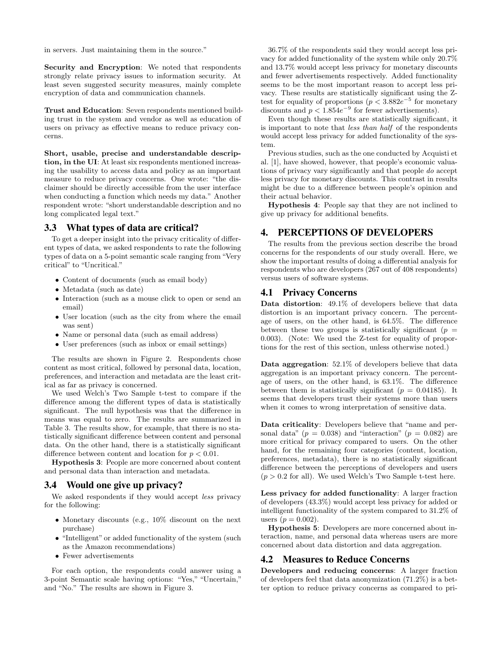in servers. Just maintaining them in the source."

Security and Encryption: We noted that respondents strongly relate privacy issues to information security. At least seven suggested security measures, mainly complete encryption of data and communication channels.

Trust and Education: Seven respondents mentioned building trust in the system and vendor as well as education of users on privacy as effective means to reduce privacy concerns.

Short, usable, precise and understandable description, in the UI: At least six respondents mentioned increasing the usability to access data and policy as an important measure to reduce privacy concerns. One wrote: "the disclaimer should be directly accessible from the user interface when conducting a function which needs my data." Another respondent wrote: "short understandable description and no long complicated legal text."

#### 3.3 What types of data are critical?

To get a deeper insight into the privacy criticality of different types of data, we asked respondents to rate the following types of data on a 5-point semantic scale ranging from "Very critical" to "Uncritical."

- Content of documents (such as email body)
- Metadata (such as date)
- Interaction (such as a mouse click to open or send an email)
- User location (such as the city from where the email was sent)
- Name or personal data (such as email address)
- User preferences (such as inbox or email settings)

The results are shown in Figure 2. Respondents chose content as most critical, followed by personal data, location, preferences, and interaction and metadata are the least critical as far as privacy is concerned.

We used Welch's Two Sample t-test to compare if the difference among the different types of data is statistically significant. The null hypothesis was that the difference in means was equal to zero. The results are summarized in Table 3. The results show, for example, that there is no statistically significant difference between content and personal data. On the other hand, there is a statistically significant difference between content and location for  $p < 0.01$ .

Hypothesis 3: People are more concerned about content and personal data than interaction and metadata.

# 3.4 Would one give up privacy?

We asked respondents if they would accept *less* privacy for the following:

- Monetary discounts (e.g., 10% discount on the next purchase)
- "Intelligent" or added functionality of the system (such as the Amazon recommendations)
- Fewer advertisements

For each option, the respondents could answer using a 3-point Semantic scale having options: "Yes," "Uncertain," and "No." The results are shown in Figure 3.

36.7% of the respondents said they would accept less privacy for added functionality of the system while only 20.7% and 13.7% would accept less privacy for monetary discounts and fewer advertisements respectively. Added functionality seems to be the most important reason to accept less privacy. These results are statistically significant using the Ztest for equality of proportions  $(p < 3.882e^{-5})$  for monetary discounts and  $p < 1.854e^{-9}$  for fewer advertisements).

Even though these results are statistically significant, it is important to note that less than half of the respondents would accept less privacy for added functionality of the system.

Previous studies, such as the one conducted by Acquisti et al. [1], have showed, however, that people's economic valuations of privacy vary significantly and that people do accept less privacy for monetary discounts. This contrast in results might be due to a difference between people's opinion and their actual behavior.

Hypothesis 4: People say that they are not inclined to give up privacy for additional benefits.

## 4. PERCEPTIONS OF DEVELOPERS

The results from the previous section describe the broad concerns for the respondents of our study overall. Here, we show the important results of doing a differential analysis for respondents who are developers (267 out of 408 respondents) versus users of software systems.

#### 4.1 Privacy Concerns

Data distortion: 49.1% of developers believe that data distortion is an important privacy concern. The percentage of users, on the other hand, is 64.5%. The difference between these two groups is statistically significant ( $p =$ 0.003). (Note: We used the Z-test for equality of proportions for the rest of this section, unless otherwise noted.)

Data aggregation: 52.1% of developers believe that data aggregation is an important privacy concern. The percentage of users, on the other hand, is 63.1%. The difference between them is statistically significant ( $p = 0.04185$ ). It seems that developers trust their systems more than users when it comes to wrong interpretation of sensitive data.

Data criticality: Developers believe that "name and personal data" ( $p = 0.038$ ) and "interaction" ( $p = 0.082$ ) are more critical for privacy compared to users. On the other hand, for the remaining four categories (content, location, preferences, metadata), there is no statistically significant difference between the perceptions of developers and users  $(p > 0.2$  for all). We used Welch's Two Sample t-test here.

Less privacy for added functionality: A larger fraction of developers (43.3%) would accept less privacy for added or intelligent functionality of the system compared to 31.2% of users  $(p = 0.002)$ .

Hypothesis 5: Developers are more concerned about interaction, name, and personal data whereas users are more concerned about data distortion and data aggregation.

## 4.2 Measures to Reduce Concerns

Developers and reducing concerns: A larger fraction of developers feel that data anonymization (71.2%) is a better option to reduce privacy concerns as compared to pri-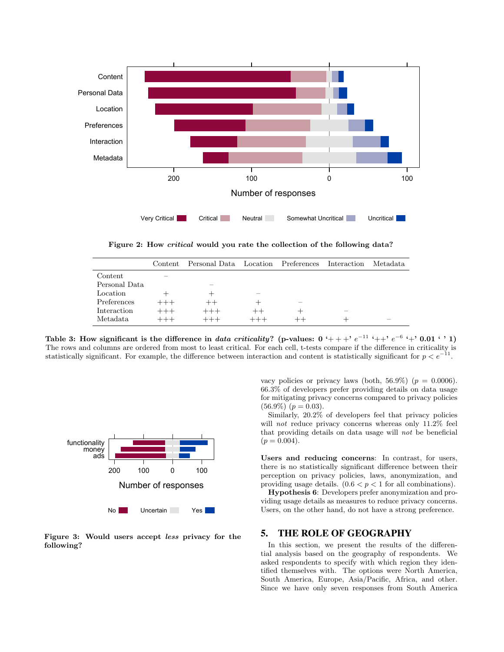

Figure 2: How critical would you rate the collection of the following data?

|               | Content | Personal Data                    | Location | Preferences | Interaction | Metadata |
|---------------|---------|----------------------------------|----------|-------------|-------------|----------|
| Content       |         |                                  |          |             |             |          |
| Personal Data |         |                                  |          |             |             |          |
| Location      |         | $\hspace{0.1mm} +\hspace{0.1mm}$ |          |             |             |          |
| Preferences   | $+++$   | $++$                             | $\!$     |             |             |          |
| Interaction   | $-++$   | $++++ \$                         | $^{++}$  |             |             |          |
| Metadata      | ---     | ---                              | ---      | ---         |             |          |

Table 3: How significant is the difference in *data criticality*? (p-values:  $0$  '+ + +'  $e^{-11}$  '+ +'  $e^{-6}$  '+'  $0.01$  ' ' 1) The rows and columns are ordered from most to least critical. For each cell, t-tests compare if the difference in criticality is statistically significant. For example, the difference between interaction and content is statistically significant for  $p < e^{-11}$ .



Figure 3: Would users accept less privacy for the following?

vacy policies or privacy laws (both, 56.9%) ( $p = 0.0006$ ). 66.3% of developers prefer providing details on data usage for mitigating privacy concerns compared to privacy policies  $(56.9\%)$   $(p = 0.03)$ .

Similarly, 20.2% of developers feel that privacy policies will *not* reduce privacy concerns whereas only 11.2% feel that providing details on data usage will not be beneficial  $(p = 0.004)$ .

Users and reducing concerns: In contrast, for users, there is no statistically significant difference between their perception on privacy policies, laws, anonymization, and providing usage details.  $(0.6 < p < 1$  for all combinations).

Hypothesis 6: Developers prefer anonymization and providing usage details as measures to reduce privacy concerns. Users, on the other hand, do not have a strong preference.

## 5. THE ROLE OF GEOGRAPHY

In this section, we present the results of the differential analysis based on the geography of respondents. We asked respondents to specify with which region they identified themselves with. The options were North America, South America, Europe, Asia/Pacific, Africa, and other. Since we have only seven responses from South America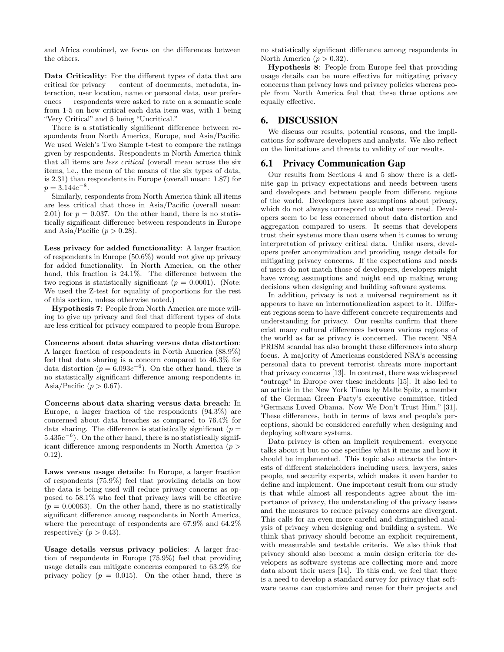and Africa combined, we focus on the differences between the others.

Data Criticality: For the different types of data that are critical for privacy — content of documents, metadata, interaction, user location, name or personal data, user preferences — respondents were asked to rate on a semantic scale from 1-5 on how critical each data item was, with 1 being "Very Critical" and 5 being "Uncritical."

There is a statistically significant difference between respondents from North America, Europe, and Asia/Pacific. We used Welch's Two Sample t-test to compare the ratings given by respondents. Respondents in North America think that all items are less critical (overall mean across the six items, i.e., the mean of the means of the six types of data, is 2.31) than respondents in Europe (overall mean: 1.87) for  $p = 3.144e^{-8}.$ 

Similarly, respondents from North America think all items are less critical that those in Asia/Pacific (overall mean: 2.01) for  $p = 0.037$ . On the other hand, there is no statistically significant difference between respondents in Europe and Asia/Pacific  $(p > 0.28)$ .

Less privacy for added functionality: A larger fraction of respondents in Europe (50.6%) would not give up privacy for added functionality. In North America, on the other hand, this fraction is 24.1%. The difference between the two regions is statistically significant ( $p = 0.0001$ ). (Note: We used the Z-test for equality of proportions for the rest of this section, unless otherwise noted.)

Hypothesis 7: People from North America are more willing to give up privacy and feel that different types of data are less critical for privacy compared to people from Europe.

Concerns about data sharing versus data distortion: A larger fraction of respondents in North America (88.9%) feel that data sharing is a concern compared to 46.3% for data distortion ( $p = 6.093e^{-6}$ ). On the other hand, there is no statistically significant difference among respondents in Asia/Pacific  $(p > 0.67)$ .

Concerns about data sharing versus data breach: In Europe, a larger fraction of the respondents (94.3%) are concerned about data breaches as compared to 76.4% for data sharing. The difference is statistically significant ( $p =$  $5.435e^{-6}$ ). On the other hand, there is no statistically significant difference among respondents in North America ( $p >$ 0.12).

Laws versus usage details: In Europe, a larger fraction of respondents (75.9%) feel that providing details on how the data is being used will reduce privacy concerns as opposed to 58.1% who feel that privacy laws will be effective  $(p = 0.00063)$ . On the other hand, there is no statistically significant difference among respondents in North America, where the percentage of respondents are 67.9% and 64.2% respectively  $(p > 0.43)$ .

Usage details versus privacy policies: A larger fraction of respondents in Europe (75.9%) feel that providing usage details can mitigate concerns compared to 63.2% for privacy policy  $(p = 0.015)$ . On the other hand, there is no statistically significant difference among respondents in North America ( $p > 0.32$ ).

Hypothesis 8: People from Europe feel that providing usage details can be more effective for mitigating privacy concerns than privacy laws and privacy policies whereas people from North America feel that these three options are equally effective.

# 6. DISCUSSION

We discuss our results, potential reasons, and the implications for software developers and analysts. We also reflect on the limitations and threats to validity of our results.

## 6.1 Privacy Communication Gap

Our results from Sections 4 and 5 show there is a definite gap in privacy expectations and needs between users and developers and between people from different regions of the world. Developers have assumptions about privacy, which do not always correspond to what users need. Developers seem to be less concerned about data distortion and aggregation compared to users. It seems that developers trust their systems more than users when it comes to wrong interpretation of privacy critical data. Unlike users, developers prefer anonymization and providing usage details for mitigating privacy concerns. If the expectations and needs of users do not match those of developers, developers might have wrong assumptions and might end up making wrong decisions when designing and building software systems.

In addition, privacy is not a universal requirement as it appears to have an internationalization aspect to it. Different regions seem to have different concrete requirements and understanding for privacy. Our results confirm that there exist many cultural differences between various regions of the world as far as privacy is concerned. The recent NSA PRISM scandal has also brought these differences into sharp focus. A majority of Americans considered NSA's accessing personal data to prevent terrorist threats more important that privacy concerns [13]. In contrast, there was widespread "outrage" in Europe over these incidents [15]. It also led to an article in the New York Times by Malte Spitz, a member of the German Green Party's executive committee, titled "Germans Loved Obama. Now We Don't Trust Him." [31]. These differences, both in terms of laws and people's perceptions, should be considered carefully when designing and deploying software systems.

Data privacy is often an implicit requirement: everyone talks about it but no one specifies what it means and how it should be implemented. This topic also attracts the interests of different stakeholders including users, lawyers, sales people, and security experts, which makes it even harder to define and implement. One important result from our study is that while almost all respondents agree about the importance of privacy, the understanding of the privacy issues and the measures to reduce privacy concerns are divergent. This calls for an even more careful and distinguished analysis of privacy when designing and building a system. We think that privacy should become an explicit requirement, with measurable and testable criteria. We also think that privacy should also become a main design criteria for developers as software systems are collecting more and more data about their users [14]. To this end, we feel that there is a need to develop a standard survey for privacy that software teams can customize and reuse for their projects and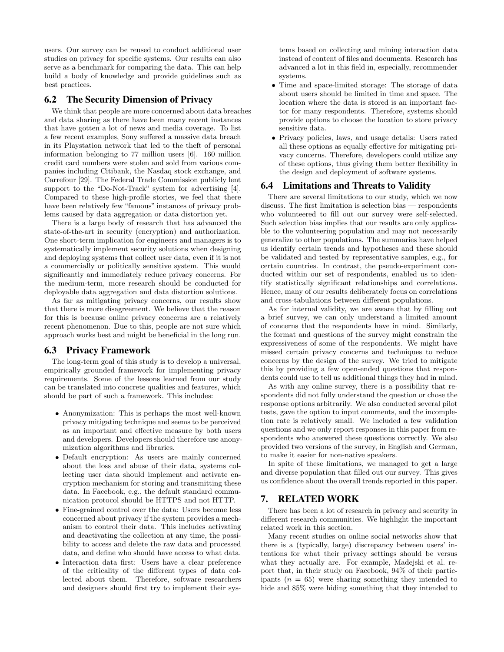users. Our survey can be reused to conduct additional user studies on privacy for specific systems. Our results can also serve as a benchmark for comparing the data. This can help build a body of knowledge and provide guidelines such as best practices.

# 6.2 The Security Dimension of Privacy

We think that people are more concerned about data breaches and data sharing as there have been many recent instances that have gotten a lot of news and media coverage. To list a few recent examples, Sony suffered a massive data breach in its Playstation network that led to the theft of personal information belonging to 77 million users [6]. 160 million credit card numbers were stolen and sold from various companies including Citibank, the Nasdaq stock exchange, and Carrefour [29]. The Federal Trade Commission publicly lent support to the "Do-Not-Track" system for advertising [4]. Compared to these high-profile stories, we feel that there have been relatively few "famous" instances of privacy problems caused by data aggregation or data distortion yet.

There is a large body of research that has advanced the state-of-the-art in security (encryption) and authorization. One short-term implication for engineers and managers is to systematically implement security solutions when designing and deploying systems that collect user data, even if it is not a commercially or politically sensitive system. This would significantly and immediately reduce privacy concerns. For the medium-term, more research should be conducted for deployable data aggregation and data distortion solutions.

As far as mitigating privacy concerns, our results show that there is more disagreement. We believe that the reason for this is because online privacy concerns are a relatively recent phenomenon. Due to this, people are not sure which approach works best and might be beneficial in the long run.

# 6.3 Privacy Framework

The long-term goal of this study is to develop a universal, empirically grounded framework for implementing privacy requirements. Some of the lessons learned from our study can be translated into concrete qualities and features, which should be part of such a framework. This includes:

- Anonymization: This is perhaps the most well-known privacy mitigating technique and seems to be perceived as an important and effective measure by both users and developers. Developers should therefore use anonymization algorithms and libraries.
- Default encryption: As users are mainly concerned about the loss and abuse of their data, systems collecting user data should implement and activate encryption mechanism for storing and transmitting these data. In Facebook, e.g., the default standard communication protocol should be HTTPS and not HTTP.
- Fine-grained control over the data: Users become less concerned about privacy if the system provides a mechanism to control their data. This includes activating and deactivating the collection at any time, the possibility to access and delete the raw data and processed data, and define who should have access to what data.
- Interaction data first: Users have a clear preference of the criticality of the different types of data collected about them. Therefore, software researchers and designers should first try to implement their sys-

tems based on collecting and mining interaction data instead of content of files and documents. Research has advanced a lot in this field in, especially, recommender systems.

- Time and space-limited storage: The storage of data about users should be limited in time and space. The location where the data is stored is an important factor for many respondents. Therefore, systems should provide options to choose the location to store privacy sensitive data.
- Privacy policies, laws, and usage details: Users rated all these options as equally effective for mitigating privacy concerns. Therefore, developers could utilize any of these options, thus giving them better flexibility in the design and deployment of software systems.

# 6.4 Limitations and Threats to Validity

There are several limitations to our study, which we now discuss. The first limitation is selection bias — respondents who volunteered to fill out our survey were self-selected. Such selection bias implies that our results are only applicable to the volunteering population and may not necessarily generalize to other populations. The summaries have helped us identify certain trends and hypotheses and these should be validated and tested by representative samples, e.g., for certain countries. In contrast, the pseudo-experiment conducted within our set of respondents, enabled us to identify statistically significant relationships and correlations. Hence, many of our results deliberately focus on correlations and cross-tabulations between different populations.

As for internal validity, we are aware that by filling out a brief survey, we can only understand a limited amount of concerns that the respondents have in mind. Similarly, the format and questions of the survey might constrain the expressiveness of some of the respondents. We might have missed certain privacy concerns and techniques to reduce concerns by the design of the survey. We tried to mitigate this by providing a few open-ended questions that respondents could use to tell us additional things they had in mind.

As with any online survey, there is a possibility that respondents did not fully understand the question or chose the response options arbitrarily. We also conducted several pilot tests, gave the option to input comments, and the incompletion rate is relatively small. We included a few validation questions and we only report responses in this paper from respondents who answered these questions correctly. We also provided two versions of the survey, in English and German, to make it easier for non-native speakers.

In spite of these limitations, we managed to get a large and diverse population that filled out our survey. This gives us confidence about the overall trends reported in this paper.

## 7. RELATED WORK

There has been a lot of research in privacy and security in different research communities. We highlight the important related work in this section.

Many recent studies on online social networks show that there is a (typically, large) discrepancy between users' intentions for what their privacy settings should be versus what they actually are. For example, Madejski et al. report that, in their study on Facebook, 94% of their participants  $(n = 65)$  were sharing something they intended to hide and  $85\%$  were hiding something that they intended to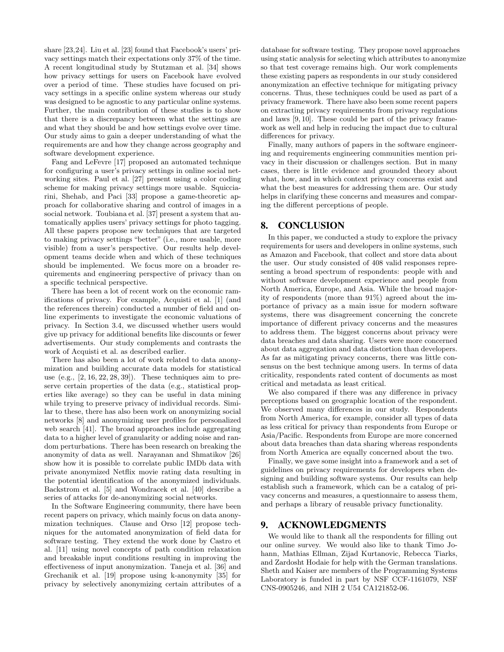share [23,24]. Liu et al. [23] found that Facebook's users' privacy settings match their expectations only 37% of the time. A recent longitudinal study by Stutzman et al. [34] shows how privacy settings for users on Facebook have evolved over a period of time. These studies have focused on privacy settings in a specific online system whereas our study was designed to be agnostic to any particular online systems. Further, the main contribution of these studies is to show that there is a discrepancy between what the settings are and what they should be and how settings evolve over time. Our study aims to gain a deeper understanding of what the requirements are and how they change across geography and software development experience.

Fang and LeFevre [17] proposed an automated technique for configuring a user's privacy settings in online social networking sites. Paul et al. [27] present using a color coding scheme for making privacy settings more usable. Squicciarini, Shehab, and Paci [33] propose a game-theoretic approach for collaborative sharing and control of images in a social network. Toubiana et al. [37] present a system that automatically applies users' privacy settings for photo tagging. All these papers propose new techniques that are targeted to making privacy settings "better" (i.e., more usable, more visible) from a user's perspective. Our results help development teams decide when and which of these techniques should be implemented. We focus more on a broader requirements and engineering perspective of privacy than on a specific technical perspective.

There has been a lot of recent work on the economic ramifications of privacy. For example, Acquisti et al. [1] (and the references therein) conducted a number of field and online experiments to investigate the economic valuations of privacy. In Section 3.4, we discussed whether users would give up privacy for additional benefits like discounts or fewer advertisements. Our study complements and contrasts the work of Acquisti et al. as described earlier.

There has also been a lot of work related to data anonymization and building accurate data models for statistical use  $(e.g., [2, 16, 22, 28, 39])$ . These techniques aim to preserve certain properties of the data (e.g., statistical properties like average) so they can be useful in data mining while trying to preserve privacy of individual records. Similar to these, there has also been work on anonymizing social networks [8] and anonymizing user profiles for personalized web search [41]. The broad approaches include aggregating data to a higher level of granularity or adding noise and random perturbations. There has been research on breaking the anonymity of data as well. Narayanan and Shmatikov [26] show how it is possible to correlate public IMDb data with private anonymized Netflix movie rating data resulting in the potential identification of the anonymized individuals. Backstrom et al. [5] and Wondracek et al. [40] describe a series of attacks for de-anonymizing social networks.

In the Software Engineering community, there have been recent papers on privacy, which mainly focus on data anonymization techniques. Clause and Orso [12] propose techniques for the automated anonymization of field data for software testing. They extend the work done by Castro et al. [11] using novel concepts of path condition relaxation and breakable input conditions resulting in improving the effectiveness of input anonymization. Taneja et al. [36] and Grechanik et al. [19] propose using k-anonymity [35] for privacy by selectively anonymizing certain attributes of a database for software testing. They propose novel approaches using static analysis for selecting which attributes to anonymize so that test coverage remains high. Our work complements these existing papers as respondents in our study considered anonymization an effective technique for mitigating privacy concerns. Thus, these techniques could be used as part of a privacy framework. There have also been some recent papers on extracting privacy requirements from privacy regulations and laws [9, 10]. These could be part of the privacy framework as well and help in reducing the impact due to cultural differences for privacy.

Finally, many authors of papers in the software engineering and requirements engineering communities mention privacy in their discussion or challenges section. But in many cases, there is little evidence and grounded theory about what, how, and in which context privacy concerns exist and what the best measures for addressing them are. Our study helps in clarifying these concerns and measures and comparing the different perceptions of people.

# 8. CONCLUSION

In this paper, we conducted a study to explore the privacy requirements for users and developers in online systems, such as Amazon and Facebook, that collect and store data about the user. Our study consisted of 408 valid responses representing a broad spectrum of respondents: people with and without software development experience and people from North America, Europe, and Asia. While the broad majority of respondents (more than 91%) agreed about the importance of privacy as a main issue for modern software systems, there was disagreement concerning the concrete importance of different privacy concerns and the measures to address them. The biggest concerns about privacy were data breaches and data sharing. Users were more concerned about data aggregation and data distortion than developers. As far as mitigating privacy concerns, there was little consensus on the best technique among users. In terms of data criticality, respondents rated content of documents as most critical and metadata as least critical.

We also compared if there was any difference in privacy perceptions based on geographic location of the respondent. We observed many differences in our study. Respondents from North America, for example, consider all types of data as less critical for privacy than respondents from Europe or Asia/Pacific. Respondents from Europe are more concerned about data breaches than data sharing whereas respondents from North America are equally concerned about the two.

Finally, we gave some insight into a framework and a set of guidelines on privacy requirements for developers when designing and building software systems. Our results can help establish such a framework, which can be a catalog of privacy concerns and measures, a questionnaire to assess them, and perhaps a library of reusable privacy functionality.

# 9. ACKNOWLEDGMENTS

We would like to thank all the respondents for filling out our online survey. We would also like to thank Timo Johann, Mathias Ellman, Zijad Kurtanovic, Rebecca Tiarks, and Zardosht Hodaie for help with the German translations. Sheth and Kaiser are members of the Programming Systems Laboratory is funded in part by NSF CCF-1161079, NSF CNS-0905246, and NIH 2 U54 CA121852-06.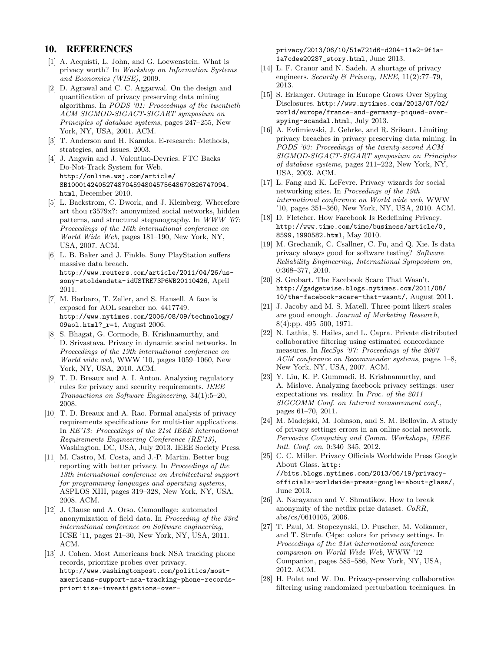## 10. REFERENCES

- [1] A. Acquisti, L. John, and G. Loewenstein. What is privacy worth? In Workshop on Information Systems and Economics (WISE), 2009.
- [2] D. Agrawal and C. C. Aggarwal. On the design and quantification of privacy preserving data mining algorithms. In PODS '01: Proceedings of the twentieth ACM SIGMOD-SIGACT-SIGART symposium on Principles of database systems, pages 247–255, New York, NY, USA, 2001. ACM.
- [3] T. Anderson and H. Kanuka. E-research: Methods, strategies, and issues. 2003.
- [4] J. Angwin and J. Valentino-Devries. FTC Backs Do-Not-Track System for Web. http://online.wsj.com/article/ SB10001424052748704594804575648670826747094. html, December 2010.
- [5] L. Backstrom, C. Dwork, and J. Kleinberg. Wherefore art thou r3579x?: anonymized social networks, hidden patterns, and structural steganography. In WWW '07: Proceedings of the 16th international conference on World Wide Web, pages 181–190, New York, NY, USA, 2007. ACM.
- [6] L. B. Baker and J. Finkle. Sony PlayStation suffers massive data breach. http://www.reuters.com/article/2011/04/26/ussony-stoldendata-idUSTRE73P6WB20110426, April 2011.
- [7] M. Barbaro, T. Zeller, and S. Hansell. A face is exposed for AOL searcher no. 4417749. http://www.nytimes.com/2006/08/09/technology/ 09aol.html?\_r=1, August 2006.
- [8] S. Bhagat, G. Cormode, B. Krishnamurthy, and D. Srivastava. Privacy in dynamic social networks. In Proceedings of the 19th international conference on World wide web, WWW '10, pages 1059–1060, New York, NY, USA, 2010. ACM.
- [9] T. D. Breaux and A. I. Anton. Analyzing regulatory rules for privacy and security requirements. IEEE Transactions on Software Engineering, 34(1):5–20, 2008.
- [10] T. D. Breaux and A. Rao. Formal analysis of privacy requirements specifications for multi-tier applications. In RE'13: Proceedings of the 21st IEEE International Requirements Engineering Conference (RE'13), Washington, DC, USA, July 2013. IEEE Society Press.
- [11] M. Castro, M. Costa, and J.-P. Martin. Better bug reporting with better privacy. In Proceedings of the 13th international conference on Architectural support for programming languages and operating systems, ASPLOS XIII, pages 319–328, New York, NY, USA, 2008. ACM.
- [12] J. Clause and A. Orso. Camouflage: automated anonymization of field data. In Proceeding of the 33rd international conference on Software engineering, ICSE '11, pages 21–30, New York, NY, USA, 2011. ACM.
- [13] J. Cohen. Most Americans back NSA tracking phone records, prioritize probes over privacy. http://www.washingtonpost.com/politics/mostamericans-support-nsa-tracking-phone-recordsprioritize-investigations-over-

privacy/2013/06/10/51e721d6-d204-11e2-9f1a-1a7cdee20287\_story.html, June 2013.

- [14] L. F. Cranor and N. Sadeh. A shortage of privacy engineers. Security & Privacy, IEEE, 11(2):77-79, 2013.
- [15] S. Erlanger. Outrage in Europe Grows Over Spying Disclosures. http://www.nytimes.com/2013/07/02/ world/europe/france-and-germany-piqued-overspying-scandal.html, July 2013.
- [16] A. Evfimievski, J. Gehrke, and R. Srikant. Limiting privacy breaches in privacy preserving data mining. In PODS '03: Proceedings of the twenty-second ACM SIGMOD-SIGACT-SIGART symposium on Principles of database systems, pages 211–222, New York, NY, USA, 2003. ACM.
- [17] L. Fang and K. LeFevre. Privacy wizards for social networking sites. In Proceedings of the 19th international conference on World wide web, WWW '10, pages 351–360, New York, NY, USA, 2010. ACM.
- [18] D. Fletcher. How Facebook Is Redefining Privacy. http://www.time.com/time/business/article/0, 8599,1990582.html, May 2010.
- [19] M. Grechanik, C. Csallner, C. Fu, and Q. Xie. Is data privacy always good for software testing? Software Reliability Engineering, International Symposium on, 0:368–377, 2010.
- [20] S. Grobart. The Facebook Scare That Wasn't. http://gadgetwise.blogs.nytimes.com/2011/08/ 10/the-facebook-scare-that-wasnt/, August 2011.
- [21] J. Jacoby and M. S. Matell. Three-point likert scales are good enough. Journal of Marketing Research, 8(4):pp. 495–500, 1971.
- [22] N. Lathia, S. Hailes, and L. Capra. Private distributed collaborative filtering using estimated concordance measures. In RecSys '07: Proceedings of the 2007 ACM conference on Recommender systems, pages 1–8, New York, NY, USA, 2007. ACM.
- [23] Y. Liu, K. P. Gummadi, B. Krishnamurthy, and A. Mislove. Analyzing facebook privacy settings: user expectations vs. reality. In Proc. of the 2011 SIGCOMM Conf. on Internet measurement conf., pages 61–70, 2011.
- [24] M. Madejski, M. Johnson, and S. M. Bellovin. A study of privacy settings errors in an online social network. Pervasive Computing and Comm. Workshops, IEEE Intl. Conf. on, 0:340–345, 2012.
- [25] C. C. Miller. Privacy Officials Worldwide Press Google About Glass. http: //bits.blogs.nytimes.com/2013/06/19/privacyofficials-worldwide-press-google-about-glass/, June 2013.
- [26] A. Narayanan and V. Shmatikov. How to break anonymity of the netflix prize dataset. CoRR, abs/cs/0610105, 2006.
- [27] T. Paul, M. Stopczynski, D. Puscher, M. Volkamer, and T. Strufe. C4ps: colors for privacy settings. In Proceedings of the 21st international conference companion on World Wide Web, WWW '12 Companion, pages 585–586, New York, NY, USA, 2012. ACM.
- [28] H. Polat and W. Du. Privacy-preserving collaborative filtering using randomized perturbation techniques. In